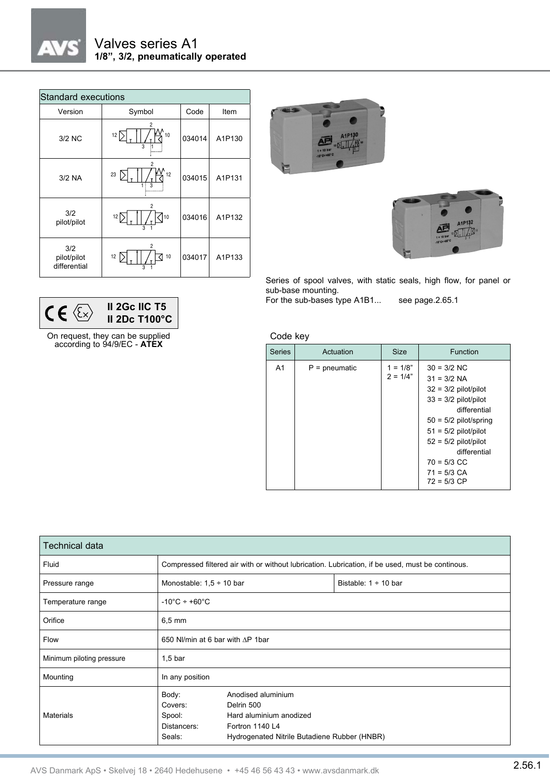

| <b>Standard executions</b>         |                                                             |        |        |  |  |  |
|------------------------------------|-------------------------------------------------------------|--------|--------|--|--|--|
| Version                            | Symbol                                                      | Code   | Item   |  |  |  |
| 3/2 NC                             | $\overline{c}$<br>10<br>$12 \overline{ }$<br>$\overline{3}$ | 034014 | A1P130 |  |  |  |
| $3/2$ NA                           | 2<br>12<br>23<br>3                                          | 034015 | A1P131 |  |  |  |
| 3/2<br>pilot/pilot                 | 2<br>12 <sup>N</sup><br>10<br>$\overline{a}$                | 034016 | A1P132 |  |  |  |
| 3/2<br>pilot/pilot<br>differential | 2<br>12<br>10<br>3                                          | 034017 | A1P133 |  |  |  |

**II 2Gc IIC T5 II 2Dc T100°C**

On request, they can be supplied according to 94/9/EC - **ATEX**

 $CE \otimes$ 





Series of spool valves, with static seals, high flow, for panel or sub-base mounting.

For the sub-bases type A1B1... see page.2.65.1

Code key

| <b>Series</b>  | Actuation       | <b>Size</b>              | Function                                                                                                                                                                                                                                             |
|----------------|-----------------|--------------------------|------------------------------------------------------------------------------------------------------------------------------------------------------------------------------------------------------------------------------------------------------|
| A <sub>1</sub> | $P =$ pneumatic | $1 = 1/8"$<br>$2 = 1/4"$ | $30 = 3/2$ NC<br>$31 = 3/2$ NA<br>$32 = 3/2$ pilot/pilot<br>$33 = 3/2$ pilot/pilot<br>differential<br>$50 = 5/2$ pilot/spring<br>$51 = 5/2$ pilot/pilot<br>$52 = 5/2$ pilot/pilot<br>differential<br>$70 = 5/3$ CC<br>$71 = 5/3$ CA<br>$72 = 5/3$ CP |

| <b>Technical data</b>     |                                                                                                  |                                                                                                                                |                           |  |  |
|---------------------------|--------------------------------------------------------------------------------------------------|--------------------------------------------------------------------------------------------------------------------------------|---------------------------|--|--|
| Fluid                     | Compressed filtered air with or without lubrication. Lubrication, if be used, must be continous. |                                                                                                                                |                           |  |  |
| Pressure range            | Monostable: $1.5 \div 10$ bar                                                                    |                                                                                                                                | Bistable: $1 \div 10$ bar |  |  |
| Temperature range         | $-10^{\circ}$ C ÷ +60 $^{\circ}$ C                                                               |                                                                                                                                |                           |  |  |
| Orifice                   | $6,5 \text{ mm}$                                                                                 |                                                                                                                                |                           |  |  |
| Flow                      | 650 NI/min at 6 bar with AP 1bar                                                                 |                                                                                                                                |                           |  |  |
| Minimum piloting pressure | $1,5$ bar                                                                                        |                                                                                                                                |                           |  |  |
| Mounting                  | In any position                                                                                  |                                                                                                                                |                           |  |  |
| <b>Materials</b>          | Body:<br>Covers:<br>Spool:<br>Distancers:<br>Seals:                                              | Anodised aluminium<br>Delrin 500<br>Hard aluminium anodized<br>Fortron 1140 L4<br>Hydrogenated Nitrile Butadiene Rubber (HNBR) |                           |  |  |